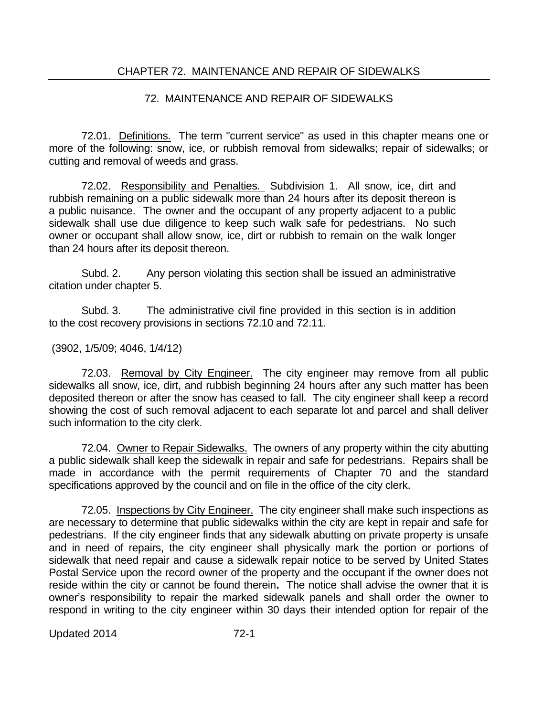## 72. MAINTENANCE AND REPAIR OF SIDEWALKS

72.01. Definitions. The term "current service" as used in this chapter means one or more of the following: snow, ice, or rubbish removal from sidewalks; repair of sidewalks; or cutting and removal of weeds and grass.

72.02. Responsibility and Penalties*.* Subdivision 1. All snow, ice, dirt and rubbish remaining on a public sidewalk more than 24 hours after its deposit thereon is a public nuisance. The owner and the occupant of any property adjacent to a public sidewalk shall use due diligence to keep such walk safe for pedestrians. No such owner or occupant shall allow snow, ice, dirt or rubbish to remain on the walk longer than 24 hours after its deposit thereon.

Subd. 2. Any person violating this section shall be issued an administrative citation under chapter 5.

Subd. 3. The administrative civil fine provided in this section is in addition to the cost recovery provisions in sections 72.10 and 72.11.

## (3902, 1/5/09; 4046, 1/4/12)

72.03. Removal by City Engineer. The city engineer may remove from all public sidewalks all snow, ice, dirt, and rubbish beginning 24 hours after any such matter has been deposited thereon or after the snow has ceased to fall. The city engineer shall keep a record showing the cost of such removal adjacent to each separate lot and parcel and shall deliver such information to the city clerk.

72.04. Owner to Repair Sidewalks. The owners of any property within the city abutting a public sidewalk shall keep the sidewalk in repair and safe for pedestrians. Repairs shall be made in accordance with the permit requirements of Chapter 70 and the standard specifications approved by the council and on file in the office of the city clerk.

72.05. Inspections by City Engineer. The city engineer shall make such inspections as are necessary to determine that public sidewalks within the city are kept in repair and safe for pedestrians. If the city engineer finds that any sidewalk abutting on private property is unsafe and in need of repairs, the city engineer shall physically mark the portion or portions of sidewalk that need repair and cause a sidewalk repair notice to be served by United States Postal Service upon the record owner of the property and the occupant if the owner does not reside within the city or cannot be found therein**.** The notice shall advise the owner that it is owner's responsibility to repair the marked sidewalk panels and shall order the owner to respond in writing to the city engineer within 30 days their intended option for repair of the

Updated 2014 72-1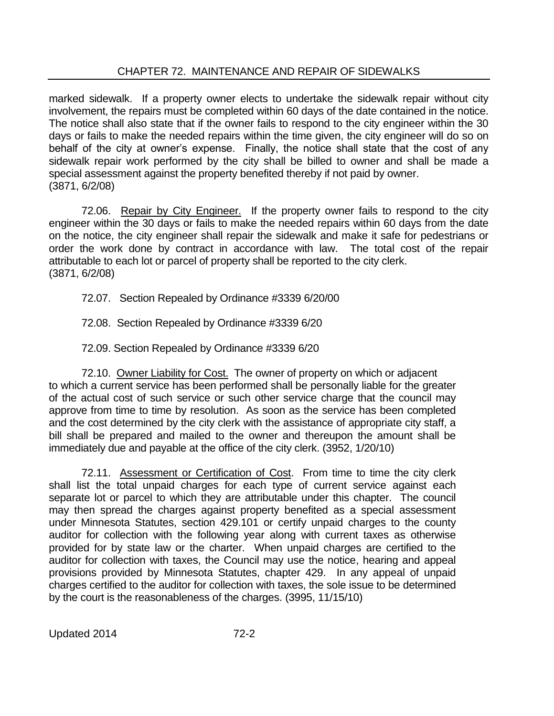## CHAPTER 72. MAINTENANCE AND REPAIR OF SIDEWALKS

marked sidewalk. If a property owner elects to undertake the sidewalk repair without city involvement, the repairs must be completed within 60 days of the date contained in the notice. The notice shall also state that if the owner fails to respond to the city engineer within the 30 days or fails to make the needed repairs within the time given, the city engineer will do so on behalf of the city at owner's expense. Finally, the notice shall state that the cost of any sidewalk repair work performed by the city shall be billed to owner and shall be made a special assessment against the property benefited thereby if not paid by owner. (3871, 6/2/08)

72.06. Repair by City Engineer. If the property owner fails to respond to the city engineer within the 30 days or fails to make the needed repairs within 60 days from the date on the notice, the city engineer shall repair the sidewalk and make it safe for pedestrians or order the work done by contract in accordance with law. The total cost of the repair attributable to each lot or parcel of property shall be reported to the city clerk. (3871, 6/2/08)

72.07. Section Repealed by Ordinance #3339 6/20/00

72.08. Section Repealed by Ordinance #3339 6/20

72.09. Section Repealed by Ordinance #3339 6/20

72.10. Owner Liability for Cost. The owner of property on which or adjacent to which a current service has been performed shall be personally liable for the greater of the actual cost of such service or such other service charge that the council may approve from time to time by resolution. As soon as the service has been completed and the cost determined by the city clerk with the assistance of appropriate city staff, a bill shall be prepared and mailed to the owner and thereupon the amount shall be immediately due and payable at the office of the city clerk. (3952, 1/20/10)

72.11. Assessment or Certification of Cost. From time to time the city clerk shall list the total unpaid charges for each type of current service against each separate lot or parcel to which they are attributable under this chapter. The council may then spread the charges against property benefited as a special assessment under Minnesota Statutes, section 429.101 or certify unpaid charges to the county auditor for collection with the following year along with current taxes as otherwise provided for by state law or the charter. When unpaid charges are certified to the auditor for collection with taxes, the Council may use the notice, hearing and appeal provisions provided by Minnesota Statutes, chapter 429. In any appeal of unpaid charges certified to the auditor for collection with taxes, the sole issue to be determined by the court is the reasonableness of the charges. (3995, 11/15/10)

Updated 2014 72-2